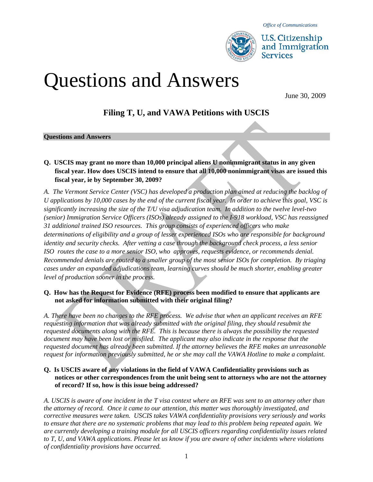

*Office of Communications* 

**U.S. Citizenship** and Immigration **Services** 

# Questions and Answers

# **Filing T, U, and VAWA Petitions with USCIS**

#### **Questions and Answers**

**Q. USCIS may grant no more than 10,000 principal aliens U nonimmigrant status in any given fiscal year. How does USCIS intend to ensure that all 10,000 nonimmigrant visas are issued this fiscal year, ie by September 30, 2009?** 

*A. The Vermont Service Center (VSC) has developed a production plan aimed at reducing the backlog of U applications by 10,000 cases by the end of the current fiscal year. In order to achieve this goal, VSC is significantly increasing the size of the T/U visa adjudication team. In addition to the twelve level-two (senior) Immigration Service Officers (ISOs) already assigned to the I-918 workload, VSC has reassigned 31 additional trained ISO resources. This group consists of experienced officers who make determinations of eligibility and a group of lesser experienced ISOs who are responsible for background identity and security checks. After vetting a case through the background check process, a less senior ISO routes the case to a more senior ISO, who approves, requests evidence, or recommends denial. Recommended denials are routed to a smaller group of the most senior ISOs for completion. By triaging cases under an expanded adjudications team, learning curves should be much shorter, enabling greater level of production sooner in the process.* 

#### **Q. How has the Request for Evidence (RFE) process been modified to ensure that applicants are not asked for information submitted with their original filing?**

*A. There have been no changes to the RFE process. We advise that when an applicant receives an RFE requesting information that was already submitted with the original filing, they should resubmit the requested documents along with the RFE. This is because there is always the possibility the requested document may have been lost or misfiled. The applicant may also indicate in the response that the requested document has already been submitted. If the attorney believes the RFE makes an unreasonable request for information previously submitted, he or she may call the VAWA Hotline to make a complaint.* 

#### **Q. Is USCIS aware of any violations in the field of VAWA Confidentiality provisions such as notices or other correspondences from the unit being sent to attorneys who are not the attorney of record? If so, how is this issue being addressed?**

*A. USCIS is aware of one incident in the T visa context where an RFE was sent to an attorney other than the attorney of record. Once it came to our attention, this matter was thoroughly investigated, and corrective measures were taken. USCIS takes VAWA confidentiality provisions very seriously and works to ensure that there are no systematic problems that may lead to this problem being repeated again. We are currently developing a training module for all USCIS officers regarding confidentiality issues related to T, U, and VAWA applications. Please let us know if you are aware of other incidents where violations of confidentiality provisions have occurred.*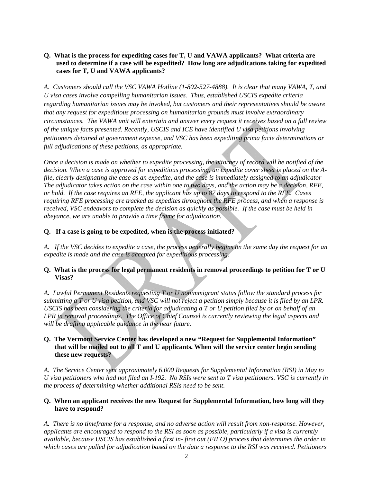#### **Q. What is the process for expediting cases for T, U and VAWA applicants? What criteria are used to determine if a case will be expedited? How long are adjudications taking for expedited cases for T, U and VAWA applicants?**

*A*. *Customers should call the VSC VAWA Hotline (1-802-527-4888). It is clear that many VAWA, T, and U visa cases involve compelling humanitarian issues. Thus, established USCIS expedite criteria regarding humanitarian issues may be invoked, but customers and their representatives should be aware that any request for expeditious processing on humanitarian grounds must involve extraordinary circumstances. The VAWA unit will entertain and answer every request it receives based on a full review of the unique facts presented. Recently, USCIS and ICE have identified U visa petitions involving petitioners detained at government expense, and VSC has been expediting prima facie determinations or full adjudications of these petitions, as appropriate.* 

*Once a decision is made on whether to expedite processing, the attorney of record will be notified of the decision. When a case is approved for expeditious processing, an expedite cover sheet is placed on the Afile, clearly designating the case as an expedite, and the case is immediately assigned to an adjudicator The adjudicator takes action on the case within one to two days, and the action may be a decision, RFE, or hold. If the case requires an RFE, the applicant has up to 87 days to respond to the RFE. Cases requiring RFE processing are tracked as expedites throughout the RFE process, and when a response is received, VSC endeavors to complete the decision as quickly as possible. If the case must be held in abeyance, we are unable to provide a time frame for adjudication.* 

#### **Q. If a case is going to be expedited, when is the process initiated?**

*A. If the VSC decides to expedite a case, the process generally begins on the same day the request for an expedite is made and the case is accepted for expeditious processing.* 

#### **Q. What is the process for legal permanent residents in removal proceedings to petition for T or U Visas?**

*A. Lawful Permanent Residents requesting T or U nonimmigrant status follow the standard process for submitting a T or U visa petition, and VSC will not reject a petition simply because it is filed by an LPR. USCIS has been considering the criteria for adjudicating a T or U petition filed by or on behalf of an LPR in removal proceedings. The Office of Chief Counsel is currently reviewing the legal aspects and will be drafting applicable guidance in the near future.* 

#### **Q. The Vermont Service Center has developed a new "Request for Supplemental Information" that will be mailed out to all T and U applicants. When will the service center begin sending these new requests?**

*A. The Service Center sent approximately 6,000 Requests for Supplemental Information (RSI) in May to U visa petitioners who had not filed an I-192. No RSIs were sent to T visa petitioners. VSC is currently in the process of determining whether additional RSIs need to be sent.* 

#### **Q. When an applicant receives the new Request for Supplemental Information, how long will they have to respond?**

*A. There is no timeframe for a response, and no adverse action will result from non-response. However, applicants are encouraged to respond to the RSI as soon as possible, particularly if a visa is currently available, because USCIS has established a first in- first out (FIFO) process that determines the order in which cases are pulled for adjudication based on the date a response to the RSI was received. Petitioners*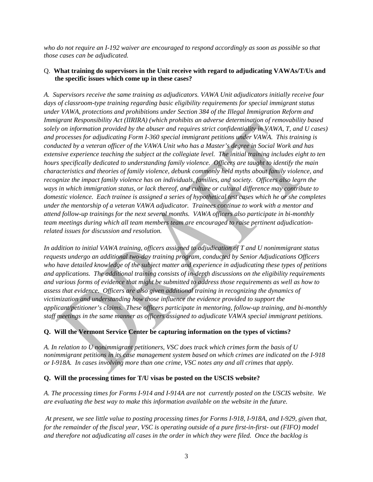*who do not require an I-192 waiver are encouraged to respond accordingly as soon as possible so that those cases can be adjudicated.* 

#### Q. **What training do supervisors in the Unit receive with regard to adjudicating VAWAs/T/Us and the specific issues which come up in these cases?**

*A. Supervisors receive the same training as adjudicators. VAWA Unit adjudicators initially receive four days of classroom-type training regarding basic eligibility requirements for special immigrant status under VAWA, protections and prohibitions under Section 384 of the Illegal Immigration Reform and Immigrant Responsibility Act (IIRIRA) (which prohibits an adverse determination of removability based solely on information provided by the abuser and requires strict confidentiality in VAWA, T, and U cases) and processes for adjudicating Form I-360 special immigrant petitions under VAWA. This training is conducted by a veteran officer of the VAWA Unit who has a Master's degree in Social Work and has extensive experience teaching the subject at the collegiate level. The initial training includes eight to ten hours specifically dedicated to understanding family violence. Officers are taught to identify the main characteristics and theories of family violence, debunk commonly held myths about family violence, and recognize the impact family violence has on individuals, families, and society. Officers also learn the ways in which immigration status, or lack thereof, and culture or cultural difference may contribute to domestic violence. Each trainee is assigned a series of hypothetical test cases which he or she completes under the mentorship of a veteran VAWA adjudicator. Trainees continue to work with a mentor and attend follow-up trainings for the next several months. VAWA officers also participate in bi-monthly team meetings during which all team members team are encouraged to raise pertinent adjudicationrelated issues for discussion and resolution.* 

*In addition to initial VAWA training, officers assigned to adjudication of T and U nonimmigrant status requests undergo an additional two-day training program, conducted by Senior Adjudications Officers who have detailed knowledge of the subject matter and experience in adjudicating these types of petitions and applications. The additional training consists of in-depth discussions on the eligibility requirements and various forms of evidence that might be submitted to address those requirements as well as how to assess that evidence. Officers are also given additional training in recognizing the dynamics of victimization and understanding how those influence the evidence provided to support the applicant/petitioner's claims*. *These officers participate in mentoring, follow-up training, and bi-monthly staff meetings in the same manner as officers assigned to adjudicate VAWA special immigrant petitions.* 

## **Q. Will the Vermont Service Center be capturing information on the types of victims?**

*A. In relation to U nonimmigrant petitioners, VSC does track which crimes form the basis of U nonimmigrant petitions in its case management system based on which crimes are indicated on the I-918 or I-918A. In cases involving more than one crime, VSC notes any and all crimes that apply.* 

## **Q. Will the processing times for T/U visas be posted on the USCIS website?**

*A. The processing times for Forms I-914 and I-914A are not currently posted on the USCIS website. We are evaluating the best way to make this information available on the website in the future.* 

 *At present, we see little value to posting processing times for Forms I-918, I-918A, and I-929, given that, for the remainder of the fiscal year, VSC is operating outside of a pure first-in-first- out (FIFO) model and therefore not adjudicating all cases in the order in which they were filed. Once the backlog is*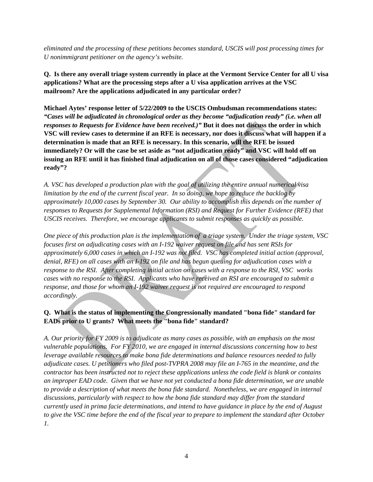*eliminated and the processing of these petitions becomes standard, USCIS will post processing times for U nonimmigrant petitioner on the agency's website.* 

**Q. Is there any overall triage system currently in place at the Vermont Service Center for all U visa applications? What are the processing steps after a U visa application arrives at the VSC mailroom? Are the applications adjudicated in any particular order?**

**Michael Aytes' response letter of 5/22/2009 to the USCIS Ombudsman recommendations states:** *"Cases will be adjudicated in chronological order as they become "adjudication ready" (i.e. when all responses to Requests for Evidence have been received.)"* **But it does not discuss the order in which VSC will review cases to determine if an RFE is necessary, nor does it discuss what will happen if a determination is made that an RFE is necessary. In this scenario, will the RFE be issued immediately? Or will the case be set aside as "not adjudication ready" and VSC will hold off on issuing an RFE until it has finished final adjudication on all of those cases considered "adjudication ready"?** 

*A. VSC has developed a production plan with the goal of utilizing the entire annual numerical visa limitation by the end of the current fiscal year. In so doing, we hope to reduce the backlog by approximately 10,000 cases by September 30. Our ability to accomplish this depends on the number of responses to Requests for Supplemental Information (RSI) and Request for Further Evidence (RFE) that USCIS receives. Therefore, we encourage applicants to submit responses as quickly as possible.* 

*One piece of this production plan is the implementation of a triage system. Under the triage system, VSC focuses first on adjudicating cases with an I-192 waiver request on file and has sent RSIs for approximately 6,000 cases in which an I-192 was not filed. VSC has completed initial action (approval, denial, RFE) on all cases with an I-192 on file and has begun queuing for adjudication cases with a response to the RSI. After completing initial action on cases with a response to the RSI, VSC works cases with no response to the RSI. Applicants who have received an RSI are encouraged to submit a response, and those for whom an I-192 waiver request is not required are encouraged to respond accordingly.* 

# **Q. What is the status of implementing the Congressionally mandated "bona fide" standard for EADs prior to U grants? What meets the "bona fide" standard?**

*A. Our priority for FY 2009 is to adjudicate as many cases as possible, with an emphasis on the most vulnerable populations. For FY 2010, we are engaged in internal discussions concerning how to best leverage available resources to make bona fide determinations and balance resources needed to fully adjudicate cases. U petitioners who filed post-TVPRA 2008 may file an I-765 in the meantime, and the contractor has been instructed not to reject these applications unless the code field is blank or contains an improper EAD code. Given that we have not yet conducted a bona fide determination, we are unable to provide a description of what meets the bona fide standard. Nonetheless, we are engaged in internal discussions, particularly with respect to how the bona fide standard may differ from the standard currently used in prima facie determinations, and intend to have guidance in place by the end of August to give the VSC time before the end of the fiscal year to prepare to implement the standard after October 1.*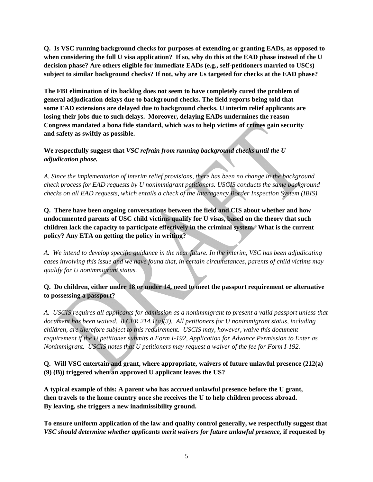**Q. Is VSC running background checks for purposes of extending or granting EADs, as opposed to when considering the full U visa application? If so, why do this at the EAD phase instead of the U decision phase? Are others eligible for immediate EADs (e.g., self-petitioners married to USCs) subject to similar background checks? If not, why are Us targeted for checks at the EAD phase?** 

**The FBI elimination of its backlog does not seem to have completely cured the problem of general adjudication delays due to background checks. The field reports being told that some EAD extensions are delayed due to background checks. U interim relief applicants are losing their jobs due to such delays. Moreover, delaying EADs undermines the reason Congress mandated a bona fide standard, which was to help victims of crimes gain security and safety as swiftly as possible.** 

**We respectfully suggest that** *VSC refrain from running background checks until the U adjudication phase.* 

*A. Since the implementation of interim relief provisions, there has been no change in the background check process for EAD requests by U nonimmigrant petitioners. USCIS conducts the same background checks on all EAD requests, which entails a check of the Interagency Border Inspection System (IBIS).* 

**Q. There have been ongoing conversations between the field and CIS about whether and how undocumented parents of USC child victims qualify for U visas, based on the theory that such children lack the capacity to participate effectively in the criminal system. What is the current policy? Any ETA on getting the policy in writing?** 

*A. We intend to develop specific guidance in the near future. In the interim, VSC has been adjudicating cases involving this issue and we have found that, in certain circumstances, parents of child victims may qualify for U nonimmigrant status.* 

# **Q. Do children, either under 18 or under 14, need to meet the passport requirement or alternative to possessing a passport?**

*A. USCIS requires all applicants for admission as a nonimmigrant to present a valid passport unless that document has been waived. 8 CFR 214.1(a)(3). All petitioners for U nonimmigrant status, including children, are therefore subject to this requirement. USCIS may, however, waive this document requirement if the U petitioner submits a Form I-192, Application for Advance Permission to Enter as Nonimmigrant. USCIS notes that U petitioners may request a waiver of the fee for Form I-192.* 

**Q. Will VSC entertain and grant, where appropriate, waivers of future unlawful presence (212(a) (9) (B)) triggered when an approved U applicant leaves the US?** 

**A typical example of this: A parent who has accrued unlawful presence before the U grant, then travels to the home country once she receives the U to help children process abroad. By leaving, she triggers a new inadmissibility ground.** 

**To ensure uniform application of the law and quality control generally, we respectfully suggest that**  *VSC should determine whether applicants merit waivers for future unlawful presence,* **if requested by**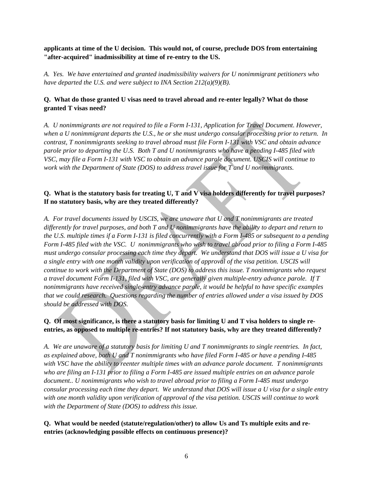**applicants at time of the U decision. This would not, of course, preclude DOS from entertaining "after-acquired" inadmissibility at time of re-entry to the US.** 

*A. Yes. We have entertained and granted inadmissibility waivers for U nonimmigrant petitioners who have departed the U.S. and were subject to INA Section 212(a)(9)(B).* 

# **Q. What do those granted U visas need to travel abroad and re-enter legally? What do those granted T visas need?**

*A. U nonimmigrants are not required to file a Form I-131, Application for Travel Document. However, when a U nonimmigrant departs the U.S., he or she must undergo consular processing prior to return. In contrast, T nonimmigrants seeking to travel abroad must file Form I-131 with VSC and obtain advance parole prior to departing the U.S. Both T and U nonimmigrants who have a pending I-485 filed with VSC, may file a Form I-131 with VSC to obtain an advance parole document. USCIS will continue to work with the Department of State (DOS) to address travel issue for T and U nonimmigrants.* 

# **Q. What is the statutory basis for treating U, T and V visa holders differently for travel purposes? If no statutory basis, why are they treated differently?**

*A. For travel documents issued by USCIS, we are unaware that U and T nonimmigrants are treated differently for travel purposes, and both T and U nonimmigrants have the ability to depart and return to the U.S. multiple times if a Form I-131 is filed concurrently with a Form I-485 or subsequent to a pending Form I-485 filed with the VSC. U nonimmigrants who wish to travel abroad prior to filing a Form I-485 must undergo consular processing each time they depart. We understand that DOS will issue a U visa for a single entry with one month validity upon verification of approval of the visa petition. USCIS will continue to work with the Department of State (DOS) to address this issue. T nonimmigrants who request a travel document Form I-131, filed with VSC, are generally given multiple-entry advance parole. If T nonimmigrants have received single-entry advance parole, it would be helpful to have specific examples that we could research. Questions regarding the number of entries allowed under a visa issued by DOS should be addressed with DOS.* 

# **Q. Of most significance, is there a statutory basis for limiting U and T visa holders to single reentries, as opposed to multiple re-entries? If not statutory basis, why are they treated differently?**

*A. We are unaware of a statutory basis for limiting U and T nonimmigrants to single reentries. In fact, as explained above, both U and T nonimmigrants who have filed Form I-485 or have a pending I-485 with VSC have the ability to reenter multiple times with an advance parole document. T nonimmigrants who are filing an I-131 prior to filing a Form I-485 are issued multiple entries on an advance parole document.. U nonimmigrants who wish to travel abroad prior to filing a Form I-485 must undergo consular processing each time they depart. We understand that DOS will issue a U visa for a single entry with one month validity upon verification of approval of the visa petition. USCIS will continue to work with the Department of State (DOS) to address this issue.* 

# **Q. What would be needed (statute/regulation/other) to allow Us and Ts multiple exits and reentries (acknowledging possible effects on continuous presence)?**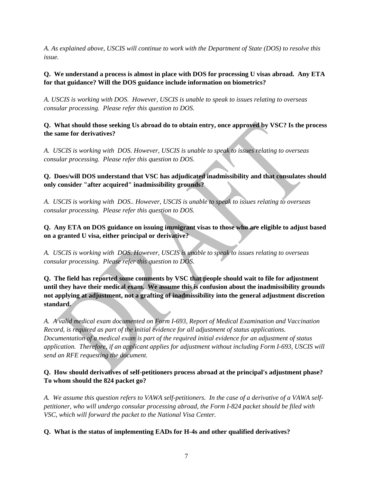*A. As explained above, USCIS will continue to work with the Department of State (DOS) to resolve this issue.* 

# **Q. We understand a process is almost in place with DOS for processing U visas abroad. Any ETA for that guidance? Will the DOS guidance include information on biometrics?**

*A. USCIS is working with DOS. However, USCIS is unable to speak to issues relating to overseas consular processing. Please refer this question to DOS.* 

**Q. What should those seeking Us abroad do to obtain entry, once approved by VSC? Is the process the same for derivatives?** 

*A. USCIS is working with DOS. However, USCIS is unable to speak to issues relating to overseas consular processing. Please refer this question to DOS.* 

# **Q. Does/will DOS understand that VSC has adjudicated inadmissibility and that consulates should only consider "after acquired" inadmissibility grounds?**

*A. USCIS is working with DOS.. However, USCIS is unable to speak to issues relating to overseas consular processing. Please refer this question to DOS.* 

**Q. Any ETA on DOS guidance on issuing immigrant visas to those who are eligible to adjust based on a granted U visa, either principal or derivative?** 

*A. USCIS is working with DOS. However, USCIS is unable to speak to issues relating to overseas consular processing. Please refer this question to DOS.* 

**Q. The field has reported some comments by VSC that people should wait to file for adjustment until they have their medical exam. We assume this is confusion about the inadmissibility grounds not applying at adjustment, not a grafting of inadmissibility into the general adjustment discretion standard.** 

*A. A valid medical exam documented on Form I-693, Report of Medical Examination and Vaccination Record, is required as part of the initial evidence for all adjustment of status applications. Documentation of a medical exam is part of the required initial evidence for an adjustment of status application. Therefore, if an applicant applies for adjustment without including Form I-693, USCIS will send an RFE requesting the document.* 

# **Q. How should derivatives of self-petitioners process abroad at the principal's adjustment phase? To whom should the 824 packet go?**

*A. We assume this question refers to VAWA self-petitioners. In the case of a derivative of a VAWA selfpetitioner, who will undergo consular processing abroad, the Form I-824 packet should be filed with VSC, which will forward the packet to the National Visa Center.* 

**Q. What is the status of implementing EADs for H-4s and other qualified derivatives?**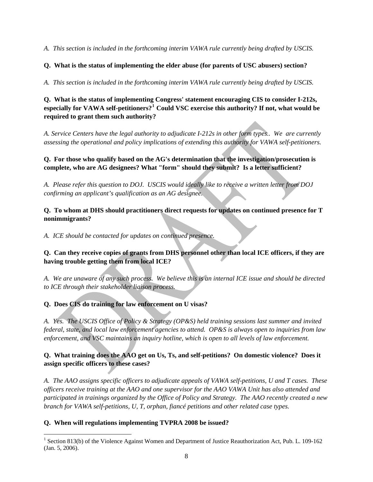*A. This section is included in the forthcoming interim VAWA rule currently being drafted by USCIS.* 

**Q. What is the status of implementing the elder abuse (for parents of USC abusers) section?** 

*A. This section is included in the forthcoming interim VAWA rule currently being drafted by USCIS.* 

**Q. What is the status of implementing Congress' statement encouraging CIS to consider I-212s, especially for VAWA self-petitioners?[1](#page-7-0) Could VSC exercise this authority? If not, what would be required to grant them such authority?** 

*A. Service Centers have the legal authority to adjudicate I-212s in other form types.. We are currently assessing the operational and policy implications of extending this authority for VAWA self-petitioners.* 

**Q. For those who qualify based on the AG's determination that the investigation/prosecution is complete, who are AG designees? What "form" should they submit? Is a letter sufficient?** 

*A. Please refer this question to DOJ. USCIS would ideally like to receive a written letter from DOJ confirming an applicant's qualification as an AG designee.* 

**Q. To whom at DHS should practitioners direct requests for updates on continued presence for T nonimmigrants?** 

*A. ICE should be contacted for updates on continued presence.* 

**Q. Can they receive copies of grants from DHS personnel other than local ICE officers, if they are having trouble getting them from local ICE?** 

*A. We are unaware of any such process. We believe this is an internal ICE issue and should be directed to ICE through their stakeholder liaison process.* 

**Q. Does CIS do training for law enforcement on U visas?** 

*A. Yes. The USCIS Office of Policy & Strategy (OP&S) held training sessions last summer and invited federal, state, and local law enforcement agencies to attend. OP&S is always open to inquiries from law enforcement, and VSC maintains an inquiry hotline, which is open to all levels of law enforcement.* 

# **Q. What training does the AAO get on Us, Ts, and self-petitions? On domestic violence? Does it assign specific officers to these cases?**

*A. The AAO assigns specific officers to adjudicate appeals of VAWA self-petitions, U and T cases. These officers receive training at the AAO and one supervisor for the AAO VAWA Unit has also attended and participated in trainings organized by the Office of Policy and Strategy. The AAO recently created a new branch for VAWA self-petitions, U, T, orphan, fiancé petitions and other related case types.*

## **Q. When will regulations implementing TVPRA 2008 be issued?**

l

<span id="page-7-0"></span><sup>&</sup>lt;sup>1</sup> Section 813(b) of the Violence Against Women and Department of Justice Reauthorization Act, Pub. L. 109-162 (Jan. 5, 2006).